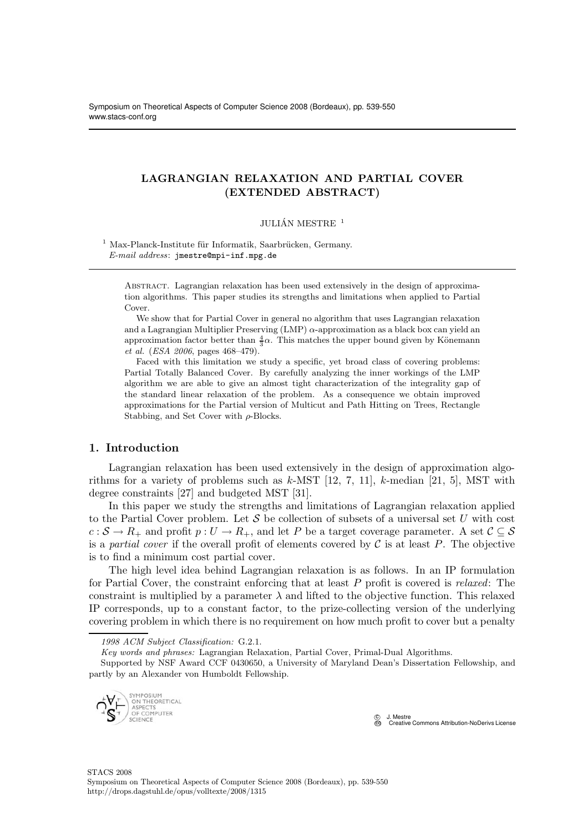# LAGRANGIAN RELAXATION AND PARTIAL COVER (EXTENDED ABSTRACT)

### JULIÁN MESTRE $^{\,1}$

 $1$  Max-Planck-Institute für Informatik, Saarbrücken, Germany. E-mail address: jmestre@mpi-inf.mpg.de

Abstract. Lagrangian relaxation has been used extensively in the design of approximation algorithms. This paper studies its strengths and limitations when applied to Partial Cover.

We show that for Partial Cover in general no algorithm that uses Lagrangian relaxation and a Lagrangian Multiplier Preserving (LMP)  $\alpha$ -approximation as a black box can yield an approximation factor better than  $\frac{4}{3}\alpha$ . This matches the upper bound given by Könemann et al. (ESA 2006, pages 468–479).

Faced with this limitation we study a specific, yet broad class of covering problems: Partial Totally Balanced Cover. By carefully analyzing the inner workings of the LMP algorithm we are able to give an almost tight characterization of the integrality gap of the standard linear relaxation of the problem. As a consequence we obtain improved approximations for the Partial version of Multicut and Path Hitting on Trees, Rectangle Stabbing, and Set Cover with  $\rho$ -Blocks.

# 1. Introduction

Lagrangian relaxation has been used extensively in the design of approximation algorithms for a variety of problems such as  $k$ -MST  $[12, 7, 11]$ ,  $k$ -median  $[21, 5]$ , MST with degree constraints [27] and budgeted MST [31].

In this paper we study the strengths and limitations of Lagrangian relaxation applied to the Partial Cover problem. Let  $S$  be collection of subsets of a universal set U with cost  $c : S \to R_+$  and profit  $p : U \to R_+$ , and let P be a target coverage parameter. A set  $C \subseteq S$ is a partial cover if the overall profit of elements covered by  $\mathcal C$  is at least  $P$ . The objective is to find a minimum cost partial cover.

The high level idea behind Lagrangian relaxation is as follows. In an IP formulation for Partial Cover, the constraint enforcing that at least  $P$  profit is covered is *relaxed*: The constraint is multiplied by a parameter  $\lambda$  and lifted to the objective function. This relaxed IP corresponds, up to a constant factor, to the prize-collecting version of the underlying covering problem in which there is no requirement on how much profit to cover but a penalty

Supported by NSF Award CCF 0430650, a University of Maryland Dean's Dissertation Fellowship, and partly by an Alexander von Humboldt Fellowship.



 c J. Mestre **CC** Creative Commons Attribution-NoDerivs License

<sup>1998</sup> ACM Subject Classification: G.2.1.

Key words and phrases: Lagrangian Relaxation, Partial Cover, Primal-Dual Algorithms.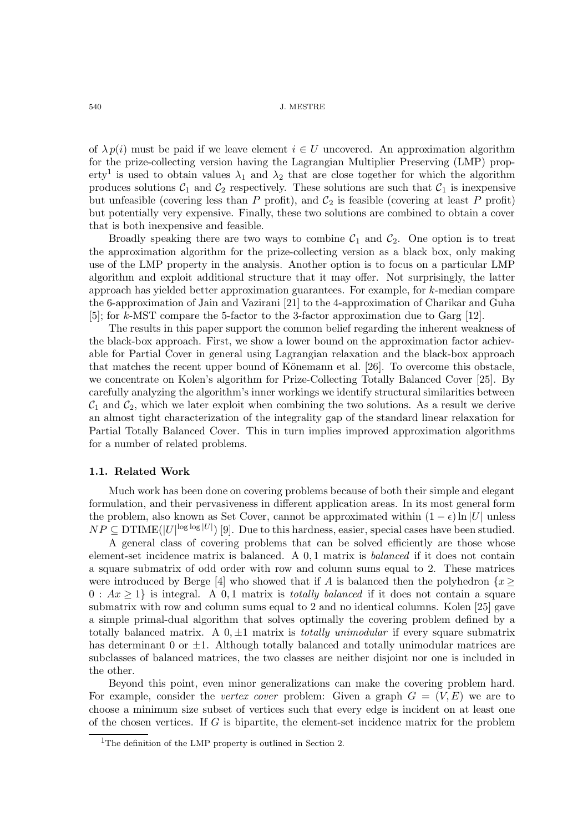of  $\lambda p(i)$  must be paid if we leave element  $i \in U$  uncovered. An approximation algorithm for the prize-collecting version having the Lagrangian Multiplier Preserving (LMP) property<sup>1</sup> is used to obtain values  $\lambda_1$  and  $\lambda_2$  that are close together for which the algorithm produces solutions  $C_1$  and  $C_2$  respectively. These solutions are such that  $C_1$  is inexpensive but unfeasible (covering less than P profit), and  $C_2$  is feasible (covering at least P profit) but potentially very expensive. Finally, these two solutions are combined to obtain a cover that is both inexpensive and feasible.

Broadly speaking there are two ways to combine  $C_1$  and  $C_2$ . One option is to treat the approximation algorithm for the prize-collecting version as a black box, only making use of the LMP property in the analysis. Another option is to focus on a particular LMP algorithm and exploit additional structure that it may offer. Not surprisingly, the latter approach has yielded better approximation guarantees. For example, for k-median compare the 6-approximation of Jain and Vazirani [21] to the 4-approximation of Charikar and Guha [5]; for k-MST compare the 5-factor to the 3-factor approximation due to Garg [12].

The results in this paper support the common belief regarding the inherent weakness of the black-box approach. First, we show a lower bound on the approximation factor achievable for Partial Cover in general using Lagrangian relaxation and the black-box approach that matches the recent upper bound of Könemann et al. [26]. To overcome this obstacle, we concentrate on Kolen's algorithm for Prize-Collecting Totally Balanced Cover [25]. By carefully analyzing the algorithm's inner workings we identify structural similarities between  $\mathcal{C}_1$  and  $\mathcal{C}_2$ , which we later exploit when combining the two solutions. As a result we derive an almost tight characterization of the integrality gap of the standard linear relaxation for Partial Totally Balanced Cover. This in turn implies improved approximation algorithms for a number of related problems.

### 1.1. Related Work

Much work has been done on covering problems because of both their simple and elegant formulation, and their pervasiveness in different application areas. In its most general form the problem, also known as Set Cover, cannot be approximated within  $(1 - \epsilon) \ln |U|$  unless  $NP \subseteq DTIME(|U|^{\log \log |U|})$  [9]. Due to this hardness, easier, special cases have been studied.

A general class of covering problems that can be solved efficiently are those whose element-set incidence matrix is balanced. A 0, 1 matrix is balanced if it does not contain a square submatrix of odd order with row and column sums equal to 2. These matrices were introduced by Berge [4] who showed that if A is balanced then the polyhedron  $\{x\}$  $0: Ax \geq 1$  is integral. A 0,1 matrix is *totally balanced* if it does not contain a square submatrix with row and column sums equal to 2 and no identical columns. Kolen [25] gave a simple primal-dual algorithm that solves optimally the covering problem defined by a totally balanced matrix. A  $0, \pm 1$  matrix is *totally unimodular* if every square submatrix has determinant 0 or  $\pm 1$ . Although totally balanced and totally unimodular matrices are subclasses of balanced matrices, the two classes are neither disjoint nor one is included in the other.

Beyond this point, even minor generalizations can make the covering problem hard. For example, consider the vertex cover problem: Given a graph  $G = (V, E)$  we are to choose a minimum size subset of vertices such that every edge is incident on at least one of the chosen vertices. If G is bipartite, the element-set incidence matrix for the problem

<sup>&</sup>lt;sup>1</sup>The definition of the LMP property is outlined in Section 2.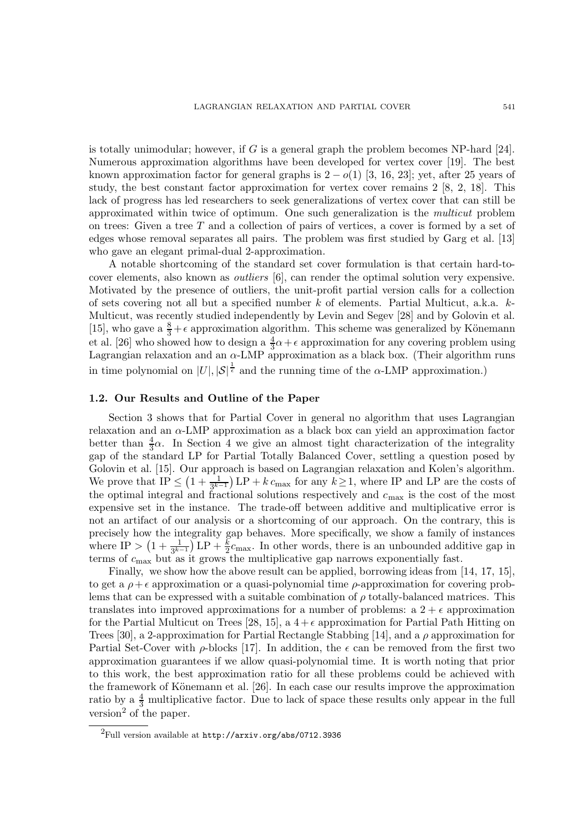is totally unimodular; however, if G is a general graph the problem becomes NP-hard  $[24]$ . Numerous approximation algorithms have been developed for vertex cover [19]. The best known approximation factor for general graphs is  $2 - o(1)$  [3, 16, 23]; yet, after 25 years of study, the best constant factor approximation for vertex cover remains 2 [8, 2, 18]. This lack of progress has led researchers to seek generalizations of vertex cover that can still be approximated within twice of optimum. One such generalization is the multicut problem on trees: Given a tree  $T$  and a collection of pairs of vertices, a cover is formed by a set of edges whose removal separates all pairs. The problem was first studied by Garg et al. [13] who gave an elegant primal-dual 2-approximation.

A notable shortcoming of the standard set cover formulation is that certain hard-tocover elements, also known as outliers [6], can render the optimal solution very expensive. Motivated by the presence of outliers, the unit-profit partial version calls for a collection of sets covering not all but a specified number k of elements. Partial Multicut, a.k.a. k-Multicut, was recently studied independently by Levin and Segev [28] and by Golovin et al. [15], who gave a  $\frac{8}{3} + \epsilon$  approximation algorithm. This scheme was generalized by Könemann et al. [26] who showed how to design a  $\frac{4}{3}\alpha + \epsilon$  approximation for any covering problem using Lagrangian relaxation and an  $\alpha$ -LMP approximation as a black box. (Their algorithm runs in time polynomial on  $|U|, |\mathcal{S}|^{\frac{1}{\epsilon}}$  and the running time of the  $\alpha$ -LMP approximation.)

### 1.2. Our Results and Outline of the Paper

Section 3 shows that for Partial Cover in general no algorithm that uses Lagrangian relaxation and an α-LMP approximation as a black box can yield an approximation factor better than  $\frac{4}{3}\alpha$ . In Section 4 we give an almost tight characterization of the integrality gap of the standard LP for Partial Totally Balanced Cover, settling a question posed by Golovin et al. [15]. Our approach is based on Lagrangian relaxation and Kolen's algorithm. We prove that  $IP \leq (1 + \frac{1}{3^{k-1}}) \text{LP} + k c_{\text{max}}$  for any  $k \geq 1$ , where IP and LP are the costs of the optimal integral and fractional solutions respectively and  $c_{\text{max}}$  is the cost of the most expensive set in the instance. The trade-off between additive and multiplicative error is not an artifact of our analysis or a shortcoming of our approach. On the contrary, this is precisely how the integrality gap behaves. More specifically, we show a family of instances where  $IP > (1 + \frac{1}{3^{k-1}})LP + \frac{k}{2}c_{\text{max}}$ . In other words, there is an unbounded additive gap in terms of  $c_{\text{max}}$  but as it grows the multiplicative gap narrows exponentially fast.

Finally, we show how the above result can be applied, borrowing ideas from [14, 17, 15], to get a  $\rho + \epsilon$  approximation or a quasi-polynomial time  $\rho$ -approximation for covering problems that can be expressed with a suitable combination of  $\rho$  totally-balanced matrices. This translates into improved approximations for a number of problems: a  $2 + \epsilon$  approximation for the Partial Multicut on Trees [28, 15], a  $4+\epsilon$  approximation for Partial Path Hitting on Trees [30], a 2-approximation for Partial Rectangle Stabbing [14], and a  $\rho$  approximation for Partial Set-Cover with  $\rho$ -blocks [17]. In addition, the  $\epsilon$  can be removed from the first two approximation guarantees if we allow quasi-polynomial time. It is worth noting that prior to this work, the best approximation ratio for all these problems could be achieved with the framework of Könemann et al. [26]. In each case our results improve the approximation ratio by a  $\frac{4}{3}$  multiplicative factor. Due to lack of space these results only appear in the full version<sup>2</sup> of the paper.

 ${}^{2}$ Full version available at http://arxiv.org/abs/0712.3936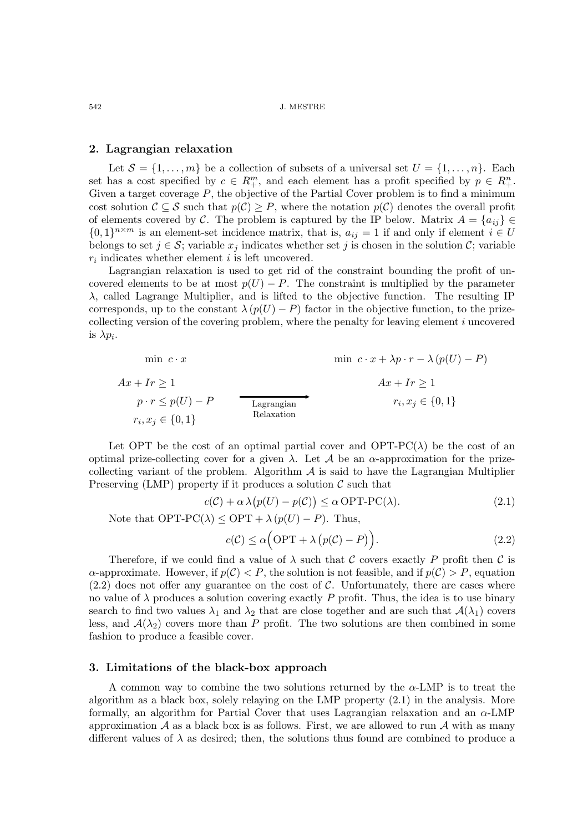### 2. Lagrangian relaxation

Let  $\mathcal{S} = \{1, \ldots, m\}$  be a collection of subsets of a universal set  $U = \{1, \ldots, n\}$ . Each set has a cost specified by  $c \in R_{+}^{m}$ , and each element has a profit specified by  $p \in R_{+}^{n}$ . Given a target coverage  $P$ , the objective of the Partial Cover problem is to find a minimum cost solution  $\mathcal{C} \subseteq \mathcal{S}$  such that  $p(\mathcal{C}) \geq P$ , where the notation  $p(\mathcal{C})$  denotes the overall profit of elements covered by C. The problem is captured by the IP below. Matrix  $A = \{a_{ij}\}\in$  $\{0,1\}^{n \times m}$  is an element-set incidence matrix, that is,  $a_{ij} = 1$  if and only if element  $i \in U$ belongs to set  $j \in \mathcal{S}$ ; variable  $x_j$  indicates whether set j is chosen in the solution C; variable  $r_i$  indicates whether element i is left uncovered.

Lagrangian relaxation is used to get rid of the constraint bounding the profit of uncovered elements to be at most  $p(U) - P$ . The constraint is multiplied by the parameter  $\lambda$ , called Lagrange Multiplier, and is lifted to the objective function. The resulting IP corresponds, up to the constant  $\lambda (p(U) - P)$  factor in the objective function, to the prizecollecting version of the covering problem, where the penalty for leaving element i uncovered is  $\lambda p_i$ .

$$
\min c \cdot x
$$
\n
$$
f(x) = \min c \cdot x
$$
\n
$$
f(x) = \max c \cdot x + \lambda p \cdot r - \lambda (p(U) - P)
$$
\n
$$
f(x) = \max c \cdot x + \lambda p \cdot r - \lambda (p(U) - P)
$$
\n
$$
A x + I r \ge 1
$$
\n
$$
P \cdot r \le p(U) - P
$$
\n
$$
Lagrangian matrix \quad r_i, x_j \in \{0, 1\}
$$
\nRelaxation matrix  $r_i, x_j \in \{0, 1\}$ 

Let OPT be the cost of an optimal partial cover and  $\text{OPT-PC}(\lambda)$  be the cost of an optimal prize-collecting cover for a given  $\lambda$ . Let A be an  $\alpha$ -approximation for the prizecollecting variant of the problem. Algorithm  $A$  is said to have the Lagrangian Multiplier Preserving (LMP) property if it produces a solution  $\mathcal C$  such that

$$
c(\mathcal{C}) + \alpha \lambda (p(U) - p(\mathcal{C})) \le \alpha \text{ OPT-PC}(\lambda). \tag{2.1}
$$

Note that  $\text{OPT-PC}(\lambda) \leq \text{OPT} + \lambda (p(U) - P)$ . Thus,

$$
c(\mathcal{C}) \le \alpha \Big(\text{OPT} + \lambda \Big(p(\mathcal{C}) - P\Big)\Big). \tag{2.2}
$$

Therefore, if we could find a value of  $\lambda$  such that C covers exactly P profit then C is  $\alpha$ -approximate. However, if  $p(\mathcal{C}) < P$ , the solution is not feasible, and if  $p(\mathcal{C}) > P$ , equation  $(2.2)$  does not offer any guarantee on the cost of C. Unfortunately, there are cases where no value of  $\lambda$  produces a solution covering exactly P profit. Thus, the idea is to use binary search to find two values  $\lambda_1$  and  $\lambda_2$  that are close together and are such that  $\mathcal{A}(\lambda_1)$  covers less, and  $\mathcal{A}(\lambda_2)$  covers more than P profit. The two solutions are then combined in some fashion to produce a feasible cover.

# 3. Limitations of the black-box approach

A common way to combine the two solutions returned by the  $\alpha$ -LMP is to treat the algorithm as a black box, solely relaying on the LMP property (2.1) in the analysis. More formally, an algorithm for Partial Cover that uses Lagrangian relaxation and an  $\alpha$ -LMP approximation  $\mathcal A$  as a black box is as follows. First, we are allowed to run  $\mathcal A$  with as many different values of  $\lambda$  as desired; then, the solutions thus found are combined to produce a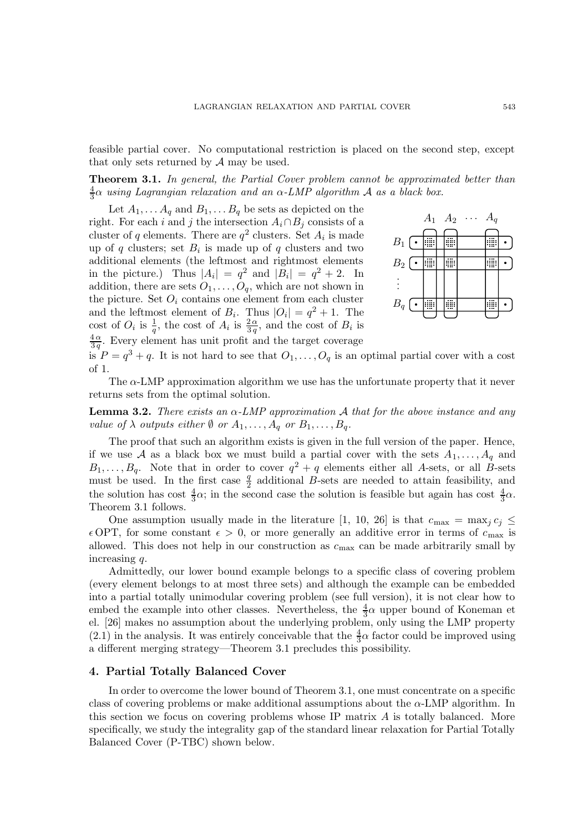feasible partial cover. No computational restriction is placed on the second step, except that only sets returned by A may be used.

**Theorem 3.1.** In general, the Partial Cover problem cannot be approximated better than 4  $\frac{4}{3} \alpha$  using Lagrangian relaxation and an  $\alpha$ -LMP algorithm  ${\cal A}$  as a black box.

Let  $A_1, \ldots A_q$  and  $B_1, \ldots B_q$  be sets as depicted on the right. For each i and j the intersection  $A_i \cap B_j$  consists of a cluster of q elements. There are  $q^2$  clusters. Set  $A_i$  is made up of q clusters; set  $B_i$  is made up of q clusters and two additional elements (the leftmost and rightmost elements in the picture.) Thus  $|A_i| = q^2$  and  $|B_i| = q^2 + 2$ . In addition, there are sets  $O_1, \ldots, O_q$ , which are not shown in the picture. Set  $O_i$  contains one element from each cluster and the leftmost element of  $B_i$ . Thus  $|O_i| = q^2 + 1$ . The cost of  $O_i$  is  $\frac{1}{q}$ , the cost of  $A_i$  is  $\frac{2\alpha}{3q}$ , and the cost of  $B_i$  is  $4\alpha$  $\frac{4\alpha}{3q}$ . Every element has unit profit and the target coverage



is  $P = q^3 + q$ . It is not hard to see that  $O_1, \ldots, O_q$  is an optimal partial cover with a cost of 1.

The  $\alpha$ -LMP approximation algorithm we use has the unfortunate property that it never returns sets from the optimal solution.

**Lemma 3.2.** There exists an  $\alpha$ -LMP approximation A that for the above instance and any value of  $\lambda$  outputs either  $\emptyset$  or  $A_1, \ldots, A_q$  or  $B_1, \ldots, B_q$ .

The proof that such an algorithm exists is given in the full version of the paper. Hence, if we use A as a black box we must build a partial cover with the sets  $A_1, \ldots, A_q$  and  $B_1, \ldots, B_q$ . Note that in order to cover  $q^2 + q$  elements either all A-sets, or all B-sets must be used. In the first case  $\frac{q}{2}$  additional B-sets are needed to attain feasibility, and the solution has cost  $\frac{4}{3}\alpha$ ; in the second case the solution is feasible but again has cost  $\frac{4}{3}\alpha$ . Theorem 3.1 follows.

One assumption usually made in the literature [1, 10, 26] is that  $c_{\text{max}} = \max_j c_j \leq$  $\epsilon$  OPT, for some constant  $\epsilon > 0$ , or more generally an additive error in terms of  $c_{\text{max}}$  is allowed. This does not help in our construction as  $c_{\text{max}}$  can be made arbitrarily small by increasing q.

Admittedly, our lower bound example belongs to a specific class of covering problem (every element belongs to at most three sets) and although the example can be embedded into a partial totally unimodular covering problem (see full version), it is not clear how to embed the example into other classes. Nevertheless, the  $\frac{4}{3}\alpha$  upper bound of Koneman et el. [26] makes no assumption about the underlying problem, only using the LMP property (2.1) in the analysis. It was entirely conceivable that the  $\frac{4}{3}\alpha$  factor could be improved using a different merging strategy—Theorem 3.1 precludes this possibility.

### 4. Partial Totally Balanced Cover

In order to overcome the lower bound of Theorem 3.1, one must concentrate on a specific class of covering problems or make additional assumptions about the  $\alpha$ -LMP algorithm. In this section we focus on covering problems whose IP matrix A is totally balanced. More specifically, we study the integrality gap of the standard linear relaxation for Partial Totally Balanced Cover (P-TBC) shown below.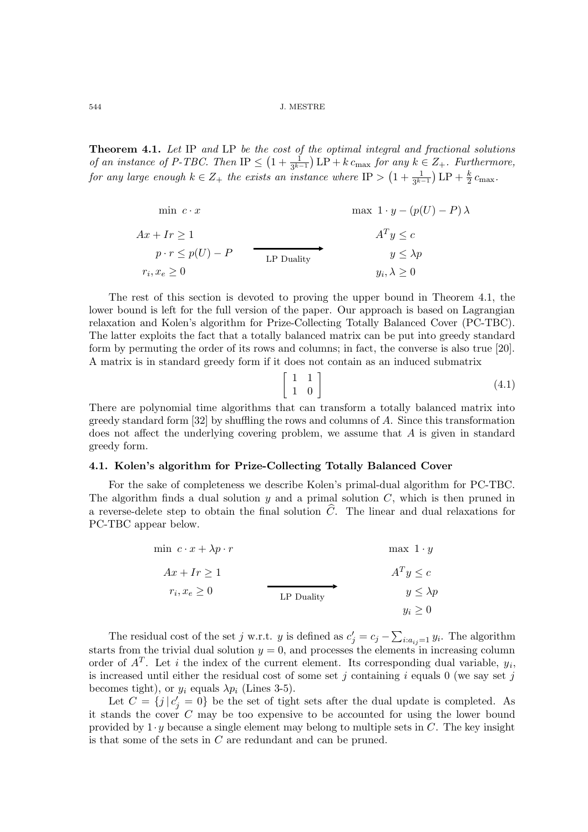Theorem 4.1. Let IP and LP be the cost of the optimal integral and fractional solutions of an instance of P-TBC. Then  $IP \leq (1 + \frac{1}{3^{k-1}}) LP + k c_{\text{max}}$  for any  $k \in Z_+$ . Furthermore, for any large enough  $k \in Z_+$  the exists an instance where  $IP > (1 + \frac{1}{3^{k-1}}) \text{LP} + \frac{k}{2} c_{\text{max}}$ .

$$
\min c \cdot x \qquad \max 1 \cdot y - (p(U) - P) \lambda
$$
\n
$$
Ax + Ir \ge 1 \qquad A^T y \le c
$$
\n
$$
p \cdot r \le p(U) - P \qquad \text{LP Duality} \qquad y \le \lambda p
$$
\n
$$
r_i, x_e \ge 0 \qquad y_i, \lambda \ge 0
$$

The rest of this section is devoted to proving the upper bound in Theorem 4.1, the lower bound is left for the full version of the paper. Our approach is based on Lagrangian relaxation and Kolen's algorithm for Prize-Collecting Totally Balanced Cover (PC-TBC). The latter exploits the fact that a totally balanced matrix can be put into greedy standard form by permuting the order of its rows and columns; in fact, the converse is also true [20]. A matrix is in standard greedy form if it does not contain as an induced submatrix

$$
\left[\begin{array}{cc} 1 & 1 \\ 1 & 0 \end{array}\right] \tag{4.1}
$$

There are polynomial time algorithms that can transform a totally balanced matrix into greedy standard form  $[32]$  by shuffling the rows and columns of A. Since this transformation does not affect the underlying covering problem, we assume that A is given in standard greedy form.

# 4.1. Kolen's algorithm for Prize-Collecting Totally Balanced Cover

For the sake of completeness we describe Kolen's primal-dual algorithm for PC-TBC. The algorithm finds a dual solution  $y$  and a primal solution  $C$ , which is then pruned in a reverse-delete step to obtain the final solution  $\widehat{C}$ . The linear and dual relaxations for PC-TBC appear below.

$$
\begin{aligned}\n\min \ c \cdot x + \lambda p \cdot r & \max \ 1 \cdot y \\
Ax + Ir &\ge 1 \\
r_i, x_e &\ge 0\n\end{aligned}
$$
\n
$$
\begin{aligned}\n\text{max } 1 \cdot y & \max \ 1 \cdot y \\
A^T y &\le c \\
y &\le \lambda p \\
y_i &\ge 0\n\end{aligned}
$$

The residual cost of the set j w.r.t. y is defined as  $c'_{j} = c_{j} - \sum_{i:a_{ij}=1} y_{i}$ . The algorithm starts from the trivial dual solution  $y = 0$ , and processes the elements in increasing column order of  $A<sup>T</sup>$ . Let i the index of the current element. Its corresponding dual variable,  $y<sub>i</sub>$ , is increased until either the residual cost of some set j containing i equals 0 (we say set j becomes tight), or  $y_i$  equals  $\lambda p_i$  (Lines 3-5).

Let  $C = \{j \mid c'_j = 0\}$  be the set of tight sets after the dual update is completed. As it stands the cover  $C$  may be too expensive to be accounted for using the lower bound provided by  $1 \cdot y$  because a single element may belong to multiple sets in C. The key insight is that some of the sets in C are redundant and can be pruned.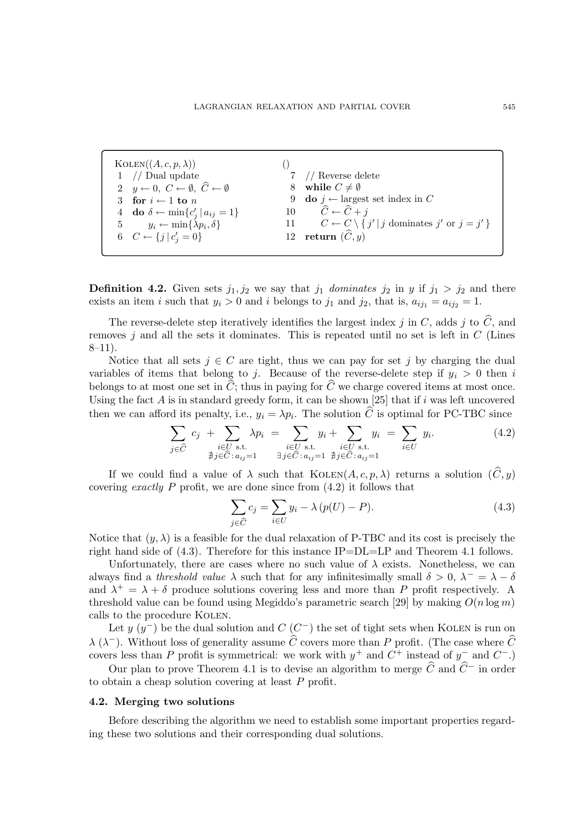| KOLEN((A, c, p, \lambda)) | ()                                                                           |    |                                                                                 |
|---------------------------|------------------------------------------------------------------------------|----|---------------------------------------------------------------------------------|
| 1                         | // Dual update                                                               | 7  | // Reverse delete                                                               |
| 2                         | $y \leftarrow 0$ , $C \leftarrow \emptyset$ , $\hat{C} \leftarrow \emptyset$ | 8  |                                                                                 |
| 3                         | for $i \leftarrow 1$ to $n$                                                  | 9  |                                                                                 |
| 4                         | do $\delta \leftarrow \min\{c'_j   a_{ij} = 1\}$                             | 10 | $\hat{C} \leftarrow \hat{C} + j$                                                |
| 5                         | $y_i \leftarrow \min\{\lambda p_i, \delta\}$                                 | 11 | $C \leftarrow C \setminus \{j'   j \text{ dominates } j' \text{ or } j = j' \}$ |
| 6                         | $C \leftarrow \{j   c'_j = 0\}$                                              | 12 | return $(\hat{C}, y)$                                                           |

**Definition 4.2.** Given sets  $j_1, j_2$  we say that  $j_1$  dominates  $j_2$  in y if  $j_1 > j_2$  and there exists an item i such that  $y_i > 0$  and i belongs to  $j_1$  and  $j_2$ , that is,  $a_{ij_1} = a_{ij_2} = 1$ .

The reverse-delete step iteratively identifies the largest index j in C, adds j to  $\hat{C}$ , and removes  $i$  and all the sets it dominates. This is repeated until no set is left in  $C$  (Lines  $8-11$ ).

Notice that all sets  $j \in C$  are tight, thus we can pay for set j by charging the dual variables of items that belong to j. Because of the reverse-delete step if  $y_i > 0$  then i belongs to at most one set in  $\hat{C}$ ; thus in paying for  $\hat{C}$  we charge covered items at most once. Using the fact  $A$  is in standard greedy form, it can be shown [25] that if  $i$  was left uncovered then we can afford its penalty, i.e.,  $y_i = \lambda p_i$ . The solution C is optimal for PC-TBC since

$$
\sum_{j \in \widehat{C}} c_j + \sum_{\substack{i \in U \text{ s.t.} \\ \nexists j \in \widehat{C}: a_{ij}=1}} \lambda p_i = \sum_{\substack{i \in U \text{ s.t.} \\ \nexists j \in \widehat{C}: a_{ij}=1}} y_i + \sum_{\substack{i \in U \text{ s.t.} \\ \nexists j \in \widehat{C}: a_{ij}=1}} y_i = \sum_{i \in U} y_i.
$$
\n(4.2)

If we could find a value of  $\lambda$  such that  $\text{KOLEN}(A, c, p, \lambda)$  returns a solution  $(\widehat{C}, y)$ covering exactly P profit, we are done since from  $(4.2)$  it follows that

$$
\sum_{j \in \widehat{C}} c_j = \sum_{i \in U} y_i - \lambda \left( p(U) - P \right). \tag{4.3}
$$

Notice that  $(y, \lambda)$  is a feasible for the dual relaxation of P-TBC and its cost is precisely the right hand side of  $(4.3)$ . Therefore for this instance IP=DL=LP and Theorem 4.1 follows.

Unfortunately, there are cases where no such value of  $\lambda$  exists. Nonetheless, we can always find a threshold value  $\lambda$  such that for any infinitesimally small  $\delta > 0$ ,  $\lambda^- = \lambda - \delta$ and  $\lambda^+ = \lambda + \delta$  produce solutions covering less and more than P profit respectively. A threshold value can be found using Megiddo's parametric search [29] by making  $O(n \log m)$ calls to the procedure Kolen.

Let  $y(y^{-})$  be the dual solution and  $C(C^{-})$  the set of tight sets when KOLEN is run on  $\lambda$  ( $\lambda$ <sup>-</sup>). Without loss of generality assume  $\widehat{C}$  covers more than P profit. (The case where  $\widehat{C}$ covers less than P profit is symmetrical: we work with  $y^+$  and  $C^+$  instead of  $y^-$  and  $C^-$ .)

Our plan to prove Theorem 4.1 is to devise an algorithm to merge  $\widehat{C}$  and  $\widehat{C}$ − in order to obtain a cheap solution covering at least P profit.

#### 4.2. Merging two solutions

Before describing the algorithm we need to establish some important properties regarding these two solutions and their corresponding dual solutions.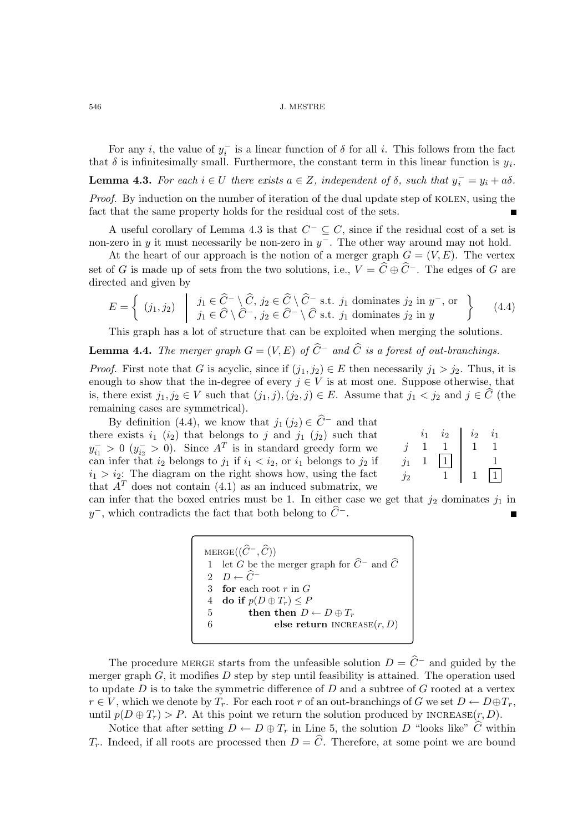For any *i*, the value of  $y_i^-$  is a linear function of  $\delta$  for all *i*. This follows from the fact that  $\delta$  is infinitesimally small. Furthermore, the constant term in this linear function is  $y_i$ .

**Lemma 4.3.** For each  $i \in U$  there exists  $a \in Z$ , independent of  $\delta$ , such that  $y_i^- = y_i + a\delta$ .

Proof. By induction on the number of iteration of the dual update step of KOLEN, using the fact that the same property holds for the residual cost of the sets.

A useful corollary of Lemma 4.3 is that  $C^- \subseteq C$ , since if the residual cost of a set is non-zero in y it must necessarily be non-zero in  $y^-$ . The other way around may not hold.

At the heart of our approach is the notion of a merger graph  $G = (V, E)$ . The vertex set of G is made up of sets from the two solutions, i.e.,  $V = \hat{C} \oplus \hat{C}$ <sup>-</sup>. The edges of G are directed and given by

$$
E = \left\{ (j_1, j_2) \middle| j_1 \in \widehat{C}^- \setminus \widehat{C}, j_2 \in \widehat{C} \setminus \widehat{C}^- \text{ s.t. } j_1 \text{ dominates } j_2 \text{ in } y^-, \text{ or } \atop j_1 \in \widehat{C} \setminus \widehat{C}^-, j_2 \in \widehat{C}^- \setminus \widehat{C} \text{ s.t. } j_1 \text{ dominates } j_2 \text{ in } y \right\} \tag{4.4}
$$

This graph has a lot of structure that can be exploited when merging the solutions.

**Lemma 4.4.** The merger graph  $G = (V, E)$  of  $\hat{C}^-$  and  $\hat{C}$  is a forest of out-branchings.

*Proof.* First note that G is acyclic, since if  $(j_1, j_2) \in E$  then necessarily  $j_1 > j_2$ . Thus, it is enough to show that the in-degree of every  $j \in V$  is at most one. Suppose otherwise, that is, there exist  $j_1, j_2 \in V$  such that  $(j_1, j), (j_2, j) \in E$ . Assume that  $j_1 < j_2$  and  $j \in \widehat{C}$  (the remaining cases are symmetrical).

By definition (4.4), we know that  $j_1(j_2) \in \widehat{C}^-$  and that there exists  $i_1$  ( $i_2$ ) that belongs to j and  $j_1$  ( $j_2$ ) such that  $y_{i_1}^{-} > 0$   $(y_{i_2}^{-} > 0)$ . Since  $A<sup>T</sup>$  is in standard greedy form we can infer that  $i_2$  belongs to  $j_1$  if  $i_1 < i_2$ , or  $i_1$  belongs to  $j_2$  if  $i_1 > i_2$ : The diagram on the right shows how, using the fact that  $A<sup>T</sup>$  does not contain (4.1) as an induced submatrix, we

|    | $i_{2}$ | $\it i$ 2 | ا: ا |
|----|---------|-----------|------|
| ٠  |         |           |      |
| '2 |         | 1         |      |

can infer that the boxed entries must be 1. In either case we get that  $j_2$  dominates  $j_1$  in y<sup>-</sup>, which contradicts the fact that both belong to  $\widehat{C}$ <sup>-</sup>.

> $\text{MERGE}((\widehat{C}^-, \widehat{C}))$ 1 let G be the merger graph for  $\widehat{C}^-$  and  $\widehat{C}$ 2  $D \leftarrow \widehat{C}^-$ 3 for each root  $r$  in  $G$  $4 \quad \mathbf{do} \text{ if } p(D \oplus T_r) \leq P$ 5 then then  $D \leftarrow D \oplus T_r$ else return  $INCREASE(r, D)$

The procedure MERGE starts from the unfeasible solution  $D = \hat{C}^-$  and guided by the merger graph  $G$ , it modifies  $D$  step by step until feasibility is attained. The operation used to update  $D$  is to take the symmetric difference of  $D$  and a subtree of  $G$  rooted at a vertex  $r \in V$ , which we denote by  $T_r$ . For each root r of an out-branchings of G we set  $D \leftarrow D \oplus T_r$ , until  $p(D \oplus T_r) > P$ . At this point we return the solution produced by INCREASE $(r, D)$ .

Notice that after setting  $D \leftarrow D \oplus T_r$  in Line 5, the solution D "looks like"  $\widehat{C}$  within  $T_r$ . Indeed, if all roots are processed then  $D = \widehat{C}$ . Therefore, at some point we are bound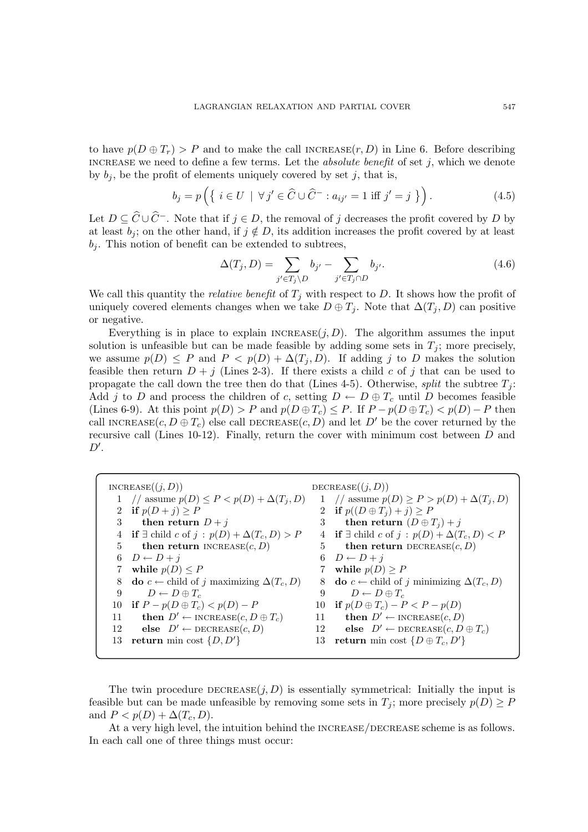to have  $p(D \oplus T_r) > P$  and to make the call INCREASE $(r, D)$  in Line 6. Before describing INCREASE we need to define a few terms. Let the *absolute benefit* of set  $j$ , which we denote by  $b_j$ , be the profit of elements uniquely covered by set j, that is,

$$
b_j = p\left(\left\{i \in U \mid \forall j' \in \widehat{C} \cup \widehat{C}^- : a_{ij'} = 1 \text{ iff } j' = j \right\}\right). \tag{4.5}
$$

Let  $D \subseteq \widehat{C} \cup \widehat{C}$ <sup>-</sup>. Note that if  $j \in D$ , the removal of j decreases the profit covered by D by at least  $b_i$ ; on the other hand, if  $j \notin D$ , its addition increases the profit covered by at least  $b_i$ . This notion of benefit can be extended to subtrees,

$$
\Delta(T_j, D) = \sum_{j' \in T_j \backslash D} b_{j'} - \sum_{j' \in T_j \cap D} b_{j'}.
$$
\n(4.6)

We call this quantity the *relative benefit* of  $T_j$  with respect to D. It shows how the profit of uniquely covered elements changes when we take  $D \oplus T_i$ . Note that  $\Delta(T_i, D)$  can positive or negative.

Everything is in place to explain  $INCREASE(j, D)$ . The algorithm assumes the input solution is unfeasible but can be made feasible by adding some sets in  $T_i$ ; more precisely, we assume  $p(D) \leq P$  and  $P < p(D) + \Delta(T_i, D)$ . If adding j to D makes the solution feasible then return  $D + j$  (Lines 2-3). If there exists a child c of j that can be used to propagate the call down the tree then do that (Lines 4-5). Otherwise, split the subtree  $T_i$ : Add j to D and process the children of c, setting  $D \leftarrow D \oplus T_c$  until D becomes feasible (Lines 6-9). At this point  $p(D) > P$  and  $p(D \oplus T_c) \le P$ . If  $P - p(D \oplus T_c) < p(D) - P$  then call INCREASE $(c, D \oplus T_c)$  else call DECREASE $(c, D)$  and let D' be the cover returned by the recursive call (Lines 10-12). Finally, return the cover with minimum cost between  $D$  and  $D^{\prime}.$ 

|             | INCREASE((j, D))                                                |    | DECREASE $((j, D))$                                               |
|-------------|-----------------------------------------------------------------|----|-------------------------------------------------------------------|
|             | 1 // assume $p(D) \leq P < p(D) + \Delta(T_j, D)$               |    | 1 // assume $p(D) \ge P > p(D) + \Delta(T_i, D)$                  |
|             | 2 if $p(D+j) \geq P$                                            |    | 2 if $p((D \oplus T_i) + j) \geq P$                               |
| 3           | then return $D + j$                                             | 3  | then return $(D \oplus T_i) + j$                                  |
|             | if $\exists$ child c of $j : p(D) + \Delta(T_c, D) > P$         |    | 4 if $\exists$ child $c$ of $j : p(D) + \Delta(T_c, D) < P$       |
| 5           | then return INCREASE $(c, D)$                                   |    | 5 then return DECREASE $(c, D)$                                   |
| 6           | $D \leftarrow D + j$                                            |    | 6 $D \leftarrow D + i$                                            |
| $7^{\circ}$ | while $p(D) \leq P$                                             |    | 7 while $p(D) \geq P$                                             |
| 8           | <b>do</b> $c \leftarrow$ child of j maximizing $\Delta(T_c, D)$ |    | 8 <b>do</b> $c \leftarrow$ child of j minimizing $\Delta(T_c, D)$ |
| 9           | $D \leftarrow D \oplus T_c$                                     | 9  | $D \leftarrow D \oplus T_c$                                       |
| 10          | if $P - p(D \oplus T_c) < p(D) - P$                             |    | 10 if $p(D \oplus T_c) - P < P - p(D)$                            |
| 11          | <b>then</b> $D' \leftarrow \text{INCREASE}(c, D \oplus T_c)$    | 11 | <b>then</b> $D' \leftarrow \text{INCREASE}(c, D)$                 |
| 12          | else $D' \leftarrow$ DECREASE $(c, D)$                          | 12 | else $D' \leftarrow$ DECREASE $(c, D \oplus T_c)$                 |
| 13          | return min cost $\{D, D'\}$                                     |    | 13 return min cost $\{D \oplus T_c, D'\}$                         |
|             |                                                                 |    |                                                                   |

The twin procedure  $DECREASE(j, D)$  is essentially symmetrical: Initially the input is feasible but can be made unfeasible by removing some sets in  $T_j$ ; more precisely  $p(D) \geq P$ and  $P < p(D) + \Delta(T_c, D)$ .

At a very high level, the intuition behind the INCREASE/DECREASE scheme is as follows. In each call one of three things must occur: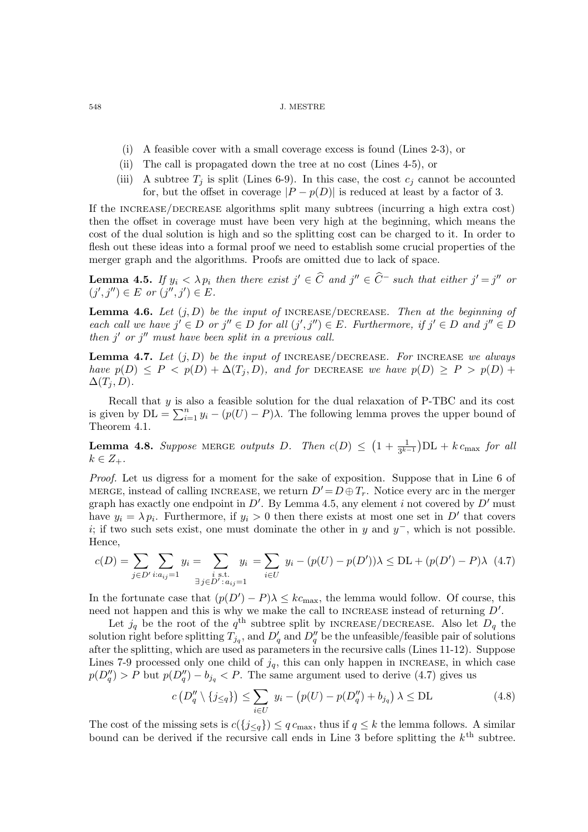- (i) A feasible cover with a small coverage excess is found (Lines 2-3), or
- (ii) The call is propagated down the tree at no cost (Lines 4-5), or
- (iii) A subtree  $T_j$  is split (Lines 6-9). In this case, the cost  $c_j$  cannot be accounted for, but the offset in coverage  $|P - p(D)|$  is reduced at least by a factor of 3.

If the increase/decrease algorithms split many subtrees (incurring a high extra cost) then the offset in coverage must have been very high at the beginning, which means the cost of the dual solution is high and so the splitting cost can be charged to it. In order to flesh out these ideas into a formal proof we need to establish some crucial properties of the merger graph and the algorithms. Proofs are omitted due to lack of space.

**Lemma 4.5.** If  $y_i < \lambda p_i$  then there exist  $j' \in \widehat{C}$  and  $j'' \in \widehat{C}$  such that either  $j' = j''$  or  $(j', j'') \in E$  or  $(j'', j') \in E$ .

**Lemma 4.6.** Let  $(j, D)$  be the input of INCREASE/DECREASE. Then at the beginning of each call we have  $j' \in D$  or  $j'' \in D$  for all  $(j', j'') \in E$ . Furthermore, if  $j' \in D$  and  $j'' \in D$ then  $j'$  or  $j''$  must have been split in a previous call.

**Lemma 4.7.** Let  $(j, D)$  be the input of INCREASE/DECREASE. For INCREASE we always have  $p(D) \leq P \leq p(D) + \Delta(T_i, D)$ , and for DECREASE we have  $p(D) \geq P > p(D) +$  $\Delta(T_i, D)$ .

Recall that  $y$  is also a feasible solution for the dual relaxation of P-TBC and its cost is given by  $DL = \sum_{i=1}^{n} y_i - (p(U) - P)\lambda$ . The following lemma proves the upper bound of Theorem 4.1.

**Lemma 4.8.** Suppose MERGE outputs D. Then  $c(D) \leq (1 + \frac{1}{3^{k-1}})DL + k c_{\text{max}}$  for all  $k \in Z_+$ .

Proof. Let us digress for a moment for the sake of exposition. Suppose that in Line 6 of MERGE, instead of calling INCREASE, we return  $D' = D \oplus T_r$ . Notice every arc in the merger graph has exactly one endpoint in  $D'$ . By Lemma 4.5, any element i not covered by  $D'$  must have  $y_i = \lambda p_i$ . Furthermore, if  $y_i > 0$  then there exists at most one set in D' that covers i; if two such sets exist, one must dominate the other in y and  $y^-$ , which is not possible. Hence,

$$
c(D) = \sum_{j \in D'} \sum_{i:a_{ij}=1} y_i = \sum_{\substack{i \text{ s.t.} \\ \exists j \in D': a_{ij}=1}} y_i = \sum_{i \in U} y_i - (p(U) - p(D'))\lambda \leq DL + (p(D') - P)\lambda \tag{4.7}
$$

In the fortunate case that  $(p(D') - P)\lambda \leq k_{\text{max}}$ , the lemma would follow. Of course, this need not happen and this is why we make the call to INCREASE instead of returning  $D'$ .

Let  $j_q$  be the root of the  $q^{\text{th}}$  subtree split by INCREASE/DECREASE. Also let  $D_q$  the solution right before splitting  $T_{j_q}$ , and  $D'_q$  and  $D''_q$  be the unfeasible/feasible pair of solutions after the splitting, which are used as parameters in the recursive calls (Lines 11-12). Suppose Lines 7-9 processed only one child of  $j_q$ , this can only happen in INCREASE, in which case  $p(D_q'') > P$  but  $p(D_q'') - b_{j_q} < P$ . The same argument used to derive (4.7) gives us

$$
c(D''_q \setminus \{j_{\leq q}\}) \leq \sum_{i \in U} y_i - (p(U) - p(D''_q) + b_{j_q}) \lambda \leq \text{DL}
$$
 (4.8)

The cost of the missing sets is  $c({j_{\leq q}}) \leq q c_{\text{max}}$ , thus if  $q \leq k$  the lemma follows. A similar bound can be derived if the recursive call ends in Line 3 before splitting the  $k^{\text{th}}$  subtree.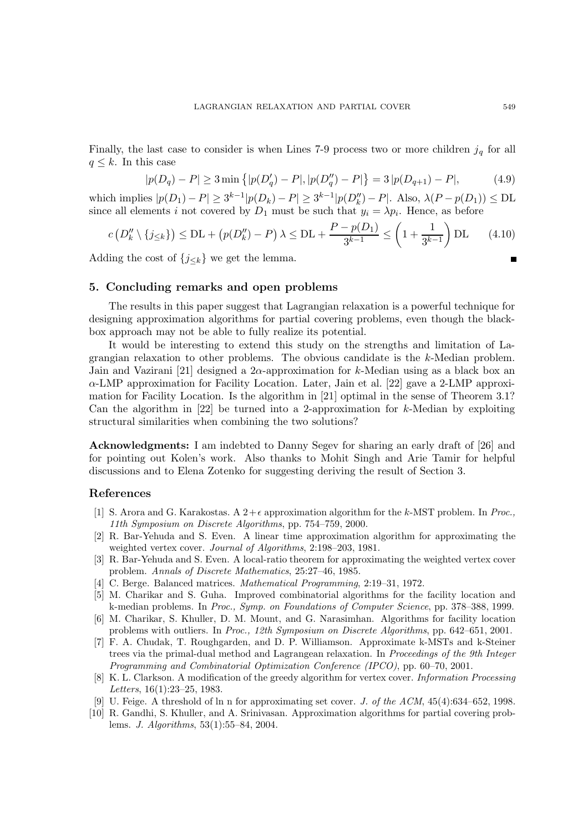Finally, the last case to consider is when Lines 7-9 process two or more children  $j_q$  for all  $q \leq k$ . In this case

$$
|p(D_q) - P| \ge 3 \min \{|p(D'_q) - P|, |p(D''_q) - P|\} = 3 |p(D_{q+1}) - P|,
$$
 (4.9)

which implies  $|p(D_1) - P| \ge 3^{k-1} |p(D_k) - P| \ge 3^{k-1} |p(D_k'') - P|$ . Also,  $\lambda (P - p(D_1)) \le 5$ L since all elements *i* not covered by  $D_1$  must be such that  $y_i = \lambda p_i$ . Hence, as before

$$
c\left(D_k'' \setminus \{j_{\leq k}\}\right) \leq \mathcal{DL} + \left(p(D_k'') - P\right)\lambda \leq \mathcal{DL} + \frac{P - p(D_1)}{3^{k-1}} \leq \left(1 + \frac{1}{3^{k-1}}\right)\mathcal{DL} \tag{4.10}
$$

Adding the cost of  ${j_{\leq k}}$  we get the lemma.

# 5. Concluding remarks and open problems

The results in this paper suggest that Lagrangian relaxation is a powerful technique for designing approximation algorithms for partial covering problems, even though the blackbox approach may not be able to fully realize its potential.

It would be interesting to extend this study on the strengths and limitation of Lagrangian relaxation to other problems. The obvious candidate is the k-Median problem. Jain and Vazirani [21] designed a  $2\alpha$ -approximation for k-Median using as a black box an α-LMP approximation for Facility Location. Later, Jain et al. [22] gave a 2-LMP approximation for Facility Location. Is the algorithm in [21] optimal in the sense of Theorem 3.1? Can the algorithm in  $[22]$  be turned into a 2-approximation for k-Median by exploiting structural similarities when combining the two solutions?

Acknowledgments: I am indebted to Danny Segev for sharing an early draft of [26] and for pointing out Kolen's work. Also thanks to Mohit Singh and Arie Tamir for helpful discussions and to Elena Zotenko for suggesting deriving the result of Section 3.

# References

- [1] S. Arora and G. Karakostas. A  $2+\epsilon$  approximation algorithm for the k-MST problem. In Proc., 11th Symposium on Discrete Algorithms, pp. 754–759, 2000.
- [2] R. Bar-Yehuda and S. Even. A linear time approximation algorithm for approximating the weighted vertex cover. Journal of Algorithms, 2:198–203, 1981.
- [3] R. Bar-Yehuda and S. Even. A local-ratio theorem for approximating the weighted vertex cover problem. Annals of Discrete Mathematics, 25:27–46, 1985.
- [4] C. Berge. Balanced matrices. Mathematical Programming, 2:19–31, 1972.
- [5] M. Charikar and S. Guha. Improved combinatorial algorithms for the facility location and k-median problems. In Proc., Symp. on Foundations of Computer Science, pp. 378–388, 1999.
- [6] M. Charikar, S. Khuller, D. M. Mount, and G. Narasimhan. Algorithms for facility location problems with outliers. In Proc., 12th Symposium on Discrete Algorithms, pp. 642–651, 2001.
- [7] F. A. Chudak, T. Roughgarden, and D. P. Williamson. Approximate k-MSTs and k-Steiner trees via the primal-dual method and Lagrangean relaxation. In Proceedings of the 9th Integer Programming and Combinatorial Optimization Conference (IPCO), pp. 60–70, 2001.
- [8] K. L. Clarkson. A modification of the greedy algorithm for vertex cover. Information Processing Letters, 16(1):23–25, 1983.
- [9] U. Feige. A threshold of ln n for approximating set cover. J. of the ACM, 45(4):634–652, 1998.
- [10] R. Gandhi, S. Khuller, and A. Srinivasan. Approximation algorithms for partial covering problems. J. Algorithms, 53(1):55–84, 2004.

 $\blacksquare$